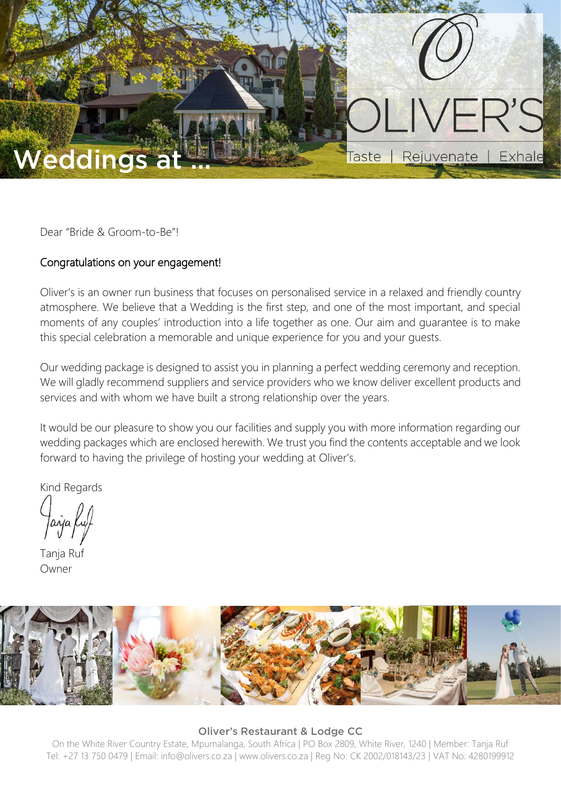

Dear "Bride & Groom-to-Be"!

### Congratulations on your engagement!

Oliver's is an owner run business that focuses on personalised service in a relaxed and friendly country atmosphere. We believe that a Wedding is the first step, and one of the most important, and special moments of any couples' introduction into a life together as one. Our aim and guarantee is to make this special celebration a memorable and unique experience for you and your guests.

Our wedding package is designed to assist you in planning a perfect wedding ceremony and reception. We will gladly recommend suppliers and service providers who we know deliver excellent products and services and with whom we have built a strong relationship over the years.

It would be our pleasure to show you our facilities and supply you with more information regarding our wedding packages which are enclosed herewith. We trust you find the contents acceptable and we look forward to having the privilege of hosting your wedding at Oliver's.

Kind Regards

Tanja Ruf Owner



#### Oliver's Restaurant & Lodge CC

On the White River Country Estate, Mpumalanga, South Africa | PO Box 2809, White River, 1240 | Member: Tanja Ruf Tel: +27 13 750 0479 | Email: info@olivers.co.za | www.olivers.co.za | Reg No: CK 2002/018143/23 | VAT No: 4280199912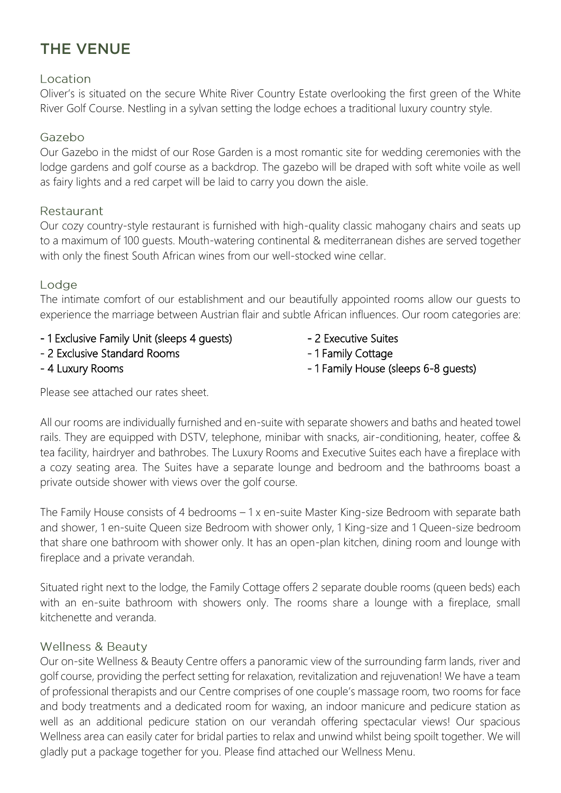# THE VENUE

### Location

Oliver's is situated on the secure White River Country Estate overlooking the first green of the White River Golf Course. Nestling in a sylvan setting the lodge echoes a traditional luxury country style.

### Gazebo

Our Gazebo in the midst of our Rose Garden is a most romantic site for wedding ceremonies with the lodge gardens and golf course as a backdrop. The gazebo will be draped with soft white voile as well as fairy lights and a red carpet will be laid to carry you down the aisle.

### Restaurant

Our cozy country-style restaurant is furnished with high-quality classic mahogany chairs and seats up to a maximum of 100 guests. Mouth-watering continental & mediterranean dishes are served together with only the finest South African wines from our well-stocked wine cellar.

### Lodge

The intimate comfort of our establishment and our beautifully appointed rooms allow our guests to experience the marriage between Austrian flair and subtle African influences. Our room categories are:

- 1 Exclusive Family Unit (sleeps 4 guests) 2 Executive Suites
- 2 Exclusive Standard Rooms 2 Exclusive Standard Rooms
- 
- 
- 
- 4 Luxury Rooms and the state of the 1 Family House (sleeps 6-8 quests)

Please see attached our rates sheet.

All our rooms are individually furnished and en-suite with separate showers and baths and heated towel rails. They are equipped with DSTV, telephone, minibar with snacks, air-conditioning, heater, coffee & tea facility, hairdryer and bathrobes. The Luxury Rooms and Executive Suites each have a fireplace with a cozy seating area. The Suites have a separate lounge and bedroom and the bathrooms boast a private outside shower with views over the golf course.

The Family House consists of 4 bedrooms – 1 x en-suite Master King-size Bedroom with separate bath and shower, 1 en-suite Queen size Bedroom with shower only, 1 King-size and 1 Queen-size bedroom that share one bathroom with shower only. It has an open-plan kitchen, dining room and lounge with fireplace and a private verandah.

Situated right next to the lodge, the Family Cottage offers 2 separate double rooms (queen beds) each with an en-suite bathroom with showers only. The rooms share a lounge with a fireplace, small kitchenette and veranda.

### **Wellness & Beauty**

Our on-site Wellness & Beauty Centre offers a panoramic view of the surrounding farm lands, river and golf course, providing the perfect setting for relaxation, revitalization and rejuvenation! We have a team of professional therapists and our Centre comprises of one couple's massage room, two rooms for face and body treatments and a dedicated room for waxing, an indoor manicure and pedicure station as well as an additional pedicure station on our verandah offering spectacular views! Our spacious Wellness area can easily cater for bridal parties to relax and unwind whilst being spoilt together. We will gladly put a package together for you. Please find attached our Wellness Menu.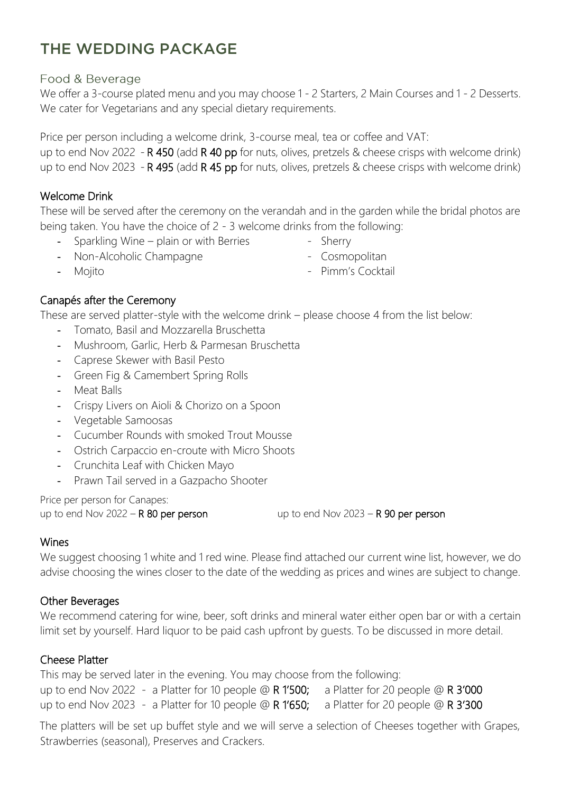# THE WEDDING PACKAGE

### Food & Beverage

We offer a 3-course plated menu and you may choose 1 - 2 Starters, 2 Main Courses and 1 - 2 Desserts. We cater for Vegetarians and any special dietary requirements.

Price per person including a welcome drink, 3-course meal, tea or coffee and VAT:

up to end Nov 2022 - **R 450** (add **R 40 pp** for nuts, olives, pretzels & cheese crisps with welcome drink) up to end Nov 2023 - R 495 (add R 45 pp for nuts, olives, pretzels & cheese crisps with welcome drink)

### Welcome Drink

These will be served after the ceremony on the verandah and in the garden while the bridal photos are being taken. You have the choice of 2 - 3 welcome drinks from the following:

- Sparkling Wine plain or with Berries Sherry
- 
- Non-Alcoholic Champagne Cosmopolitan
- Mojito  **Pimm's Cocktail**
- 

# Canapés after the Ceremony

These are served platter-style with the welcome drink – please choose 4 from the list below:

- Tomato, Basil and Mozzarella Bruschetta
- Mushroom, Garlic, Herb & Parmesan Bruschetta
- Caprese Skewer with Basil Pesto
- Green Fig & Camembert Spring Rolls
- Meat Balls
- Crispy Livers on Aioli & Chorizo on a Spoon
- Vegetable Samoosas
- Cucumber Rounds with smoked Trout Mousse
- Ostrich Carpaccio en-croute with Micro Shoots
- Crunchita Leaf with Chicken Mayo
- Prawn Tail served in a Gazpacho Shooter

Price per person for Canapes:

up to end Nov 2022 –  $R$  80 per person up to end Nov 2023 –  $R$  90 per person

# Wines

We suggest choosing 1 white and 1 red wine. Please find attached our current wine list, however, we do advise choosing the wines closer to the date of the wedding as prices and wines are subject to change.

# Other Beverages

We recommend catering for wine, beer, soft drinks and mineral water either open bar or with a certain limit set by yourself. Hard liquor to be paid cash upfront by guests. To be discussed in more detail.

# Cheese Platter

This may be served later in the evening. You may choose from the following: up to end Nov 2022 - a Platter for 10 people  $@$  R 1'500; a Platter for 20 people  $@$  R 3'000 up to end Nov 2023 - a Platter for 10 people @ R 1'650; a Platter for 20 people @ R 3'300

The platters will be set up buffet style and we will serve a selection of Cheeses together with Grapes, Strawberries (seasonal), Preserves and Crackers.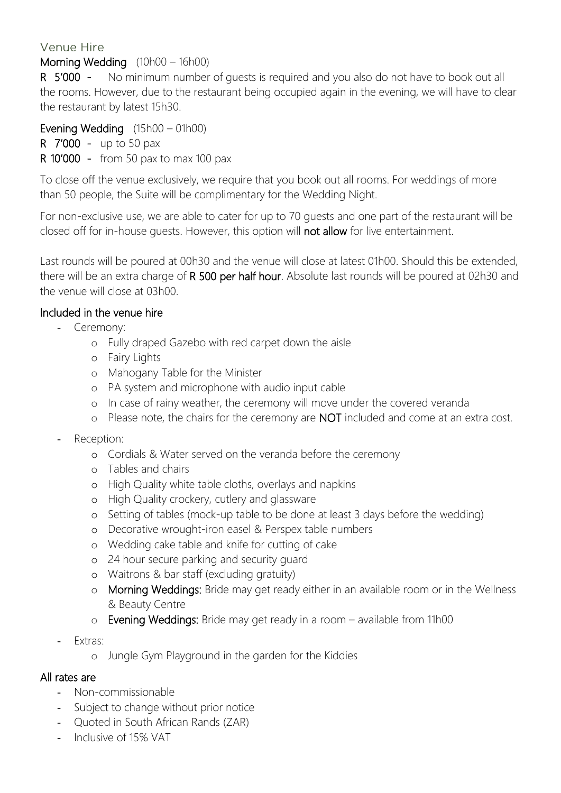# Venue Hire

# Morning Wedding (10h00 – 16h00)

R 5'000 - No minimum number of quests is required and you also do not have to book out all the rooms. However, due to the restaurant being occupied again in the evening, we will have to clear the restaurant by latest 15h30.

Evening Wedding (15h00 – 01h00)

R 7'000 - up to 50 pax

R 10'000 - from 50 pax to max 100 pax

To close off the venue exclusively, we require that you book out all rooms. For weddings of more than 50 people, the Suite will be complimentary for the Wedding Night.

For non-exclusive use, we are able to cater for up to 70 guests and one part of the restaurant will be closed off for in-house guests. However, this option will not allow for live entertainment.

Last rounds will be poured at 00h30 and the venue will close at latest 01h00. Should this be extended, there will be an extra charge of R 500 per half hour. Absolute last rounds will be poured at 02h30 and the venue will close at 03h00.

### Included in the venue hire

- Ceremony:
	- o Fully draped Gazebo with red carpet down the aisle
	- o Fairy Lights
	- o Mahogany Table for the Minister
	- o PA system and microphone with audio input cable
	- o In case of rainy weather, the ceremony will move under the covered veranda
	- o Please note, the chairs for the ceremony are NOT included and come at an extra cost.
- Reception<sup>-</sup>
	- o Cordials & Water served on the veranda before the ceremony
	- o Tables and chairs
	- o High Quality white table cloths, overlays and napkins
	- o High Quality crockery, cutlery and glassware
	- o Setting of tables (mock-up table to be done at least 3 days before the wedding)
	- o Decorative wrought-iron easel & Perspex table numbers
	- o Wedding cake table and knife for cutting of cake
	- o 24 hour secure parking and security guard
	- o Waitrons & bar staff (excluding gratuity)
	- o Morning Weddings: Bride may get ready either in an available room or in the Wellness & Beauty Centre
	- o Evening Weddings: Bride may get ready in a room available from 11h00
- Extras:
	- o Jungle Gym Playground in the garden for the Kiddies

### All rates are

- Non-commissionable
- Subject to change without prior notice
- Quoted in South African Rands (ZAR)
- Inclusive of 15% VAT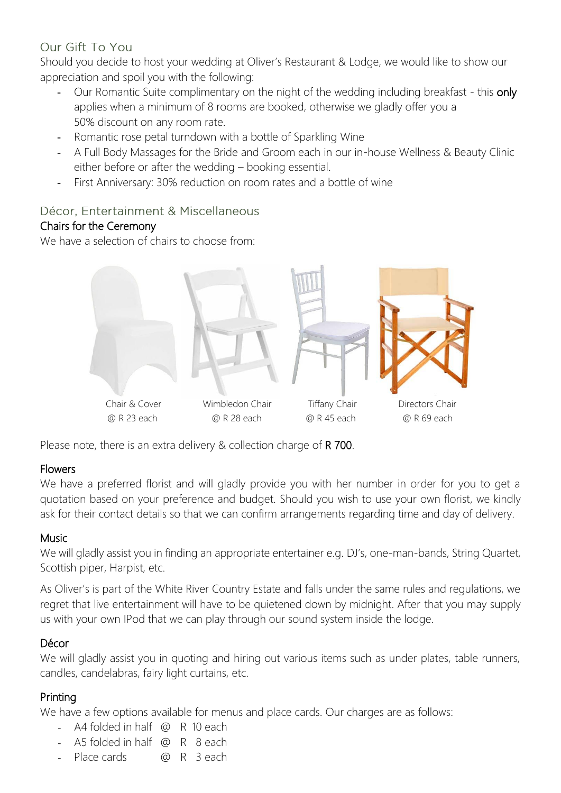# Our Gift To You

Should you decide to host your wedding at Oliver's Restaurant & Lodge, we would like to show our appreciation and spoil you with the following:

- Our Romantic Suite complimentary on the night of the wedding including breakfast this only applies when a minimum of 8 rooms are booked, otherwise we gladly offer you a 50% discount on any room rate.
- Romantic rose petal turndown with a bottle of Sparkling Wine
- A Full Body Massages for the Bride and Groom each in our in-house Wellness & Beauty Clinic either before or after the wedding – booking essential.
- First Anniversary: 30% reduction on room rates and a bottle of wine

# Décor, Entertainment & Miscellaneous

# Chairs for the Ceremony

We have a selection of chairs to choose from:



Please note, there is an extra delivery & collection charge of R 700.

# Flowers

We have a preferred florist and will gladly provide you with her number in order for you to get a quotation based on your preference and budget. Should you wish to use your own florist, we kindly ask for their contact details so that we can confirm arrangements regarding time and day of delivery.

# Music

We will gladly assist you in finding an appropriate entertainer e.g. DJ's, one-man-bands, String Quartet, Scottish piper, Harpist, etc.

As Oliver's is part of the White River Country Estate and falls under the same rules and regulations, we regret that live entertainment will have to be quietened down by midnight. After that you may supply us with your own IPod that we can play through our sound system inside the lodge.

# Décor

We will gladly assist you in quoting and hiring out various items such as under plates, table runners, candles, candelabras, fairy light curtains, etc.

# Printing

We have a few options available for menus and place cards. Our charges are as follows:

- *-* A4 folded in half @ R 10 each
- *-* A5 folded in half @ R 8 each
- Place cards **@** R 3 each